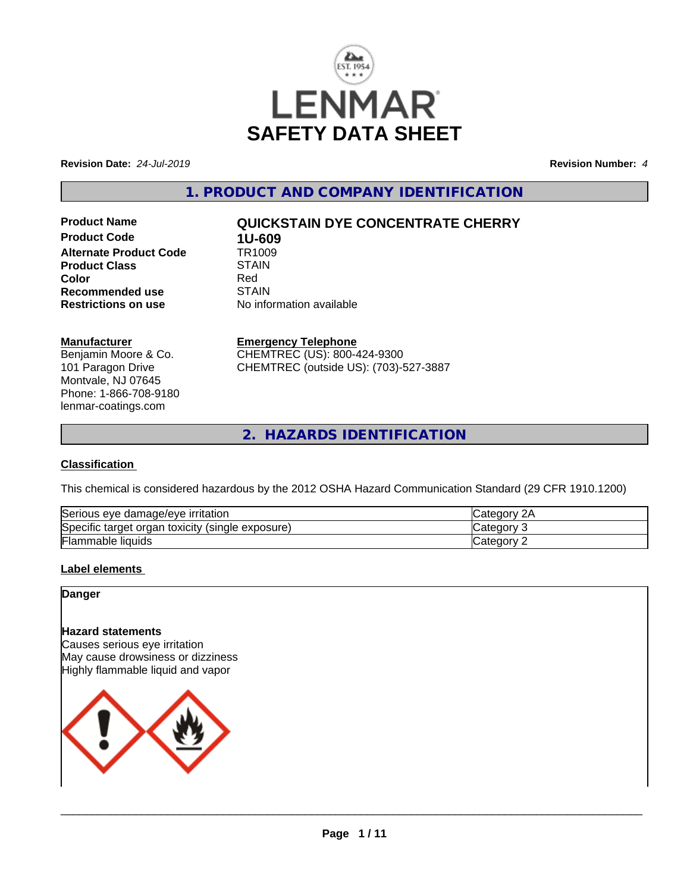

**Revision Date:** *24-Jul-2019* **Revision Number:** *4*

**1. PRODUCT AND COMPANY IDENTIFICATION**

**Product Code 1U-609**<br>**Alternate Product Code 1R1009 Alternate Product Code Product Class STAIN STAIN**<br> **Color** Red **Color** Red **Recommended use** STAIN<br> **Restrictions on use** No info

# **Product Name QUICKSTAIN DYE CONCENTRATE CHERRY**

**No information available** 

## **Manufacturer**

Benjamin Moore & Co. 101 Paragon Drive Montvale, NJ 07645 Phone: 1-866-708-9180 lenmar-coatings.com

# **Emergency Telephone**

CHEMTREC (US): 800-424-9300 CHEMTREC (outside US): (703)-527-3887

**2. HAZARDS IDENTIFICATION**

# **Classification**

This chemical is considered hazardous by the 2012 OSHA Hazard Communication Standard (29 CFR 1910.1200)

| Serious eye damage/eye irritation                                    | ategorٽ ت     |
|----------------------------------------------------------------------|---------------|
| Specific<br>exposure) ؛<br>. toxicity<br>organ<br>target<br>(single) | ategor.ب      |
| Flammable liquids                                                    | ⊶ategory<br>- |

# **Label elements**

**Danger**

# **Hazard statements**

Causes serious eye irritation May cause drowsiness or dizziness Highly flammable liquid and vapor

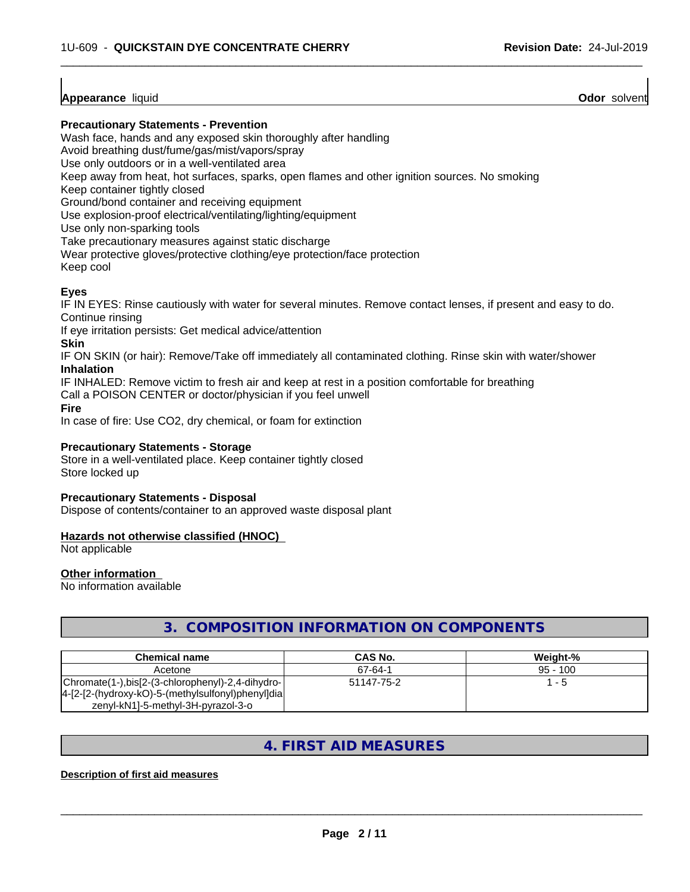# **Appearance** liquid

**Odor** solvent

## **Precautionary Statements - Prevention**

Wash face, hands and any exposed skin thoroughly after handling

Avoid breathing dust/fume/gas/mist/vapors/spray

Use only outdoors or in a well-ventilated area

Keep away from heat, hot surfaces, sparks, open flames and other ignition sources. No smoking

Keep container tightly closed

Ground/bond container and receiving equipment

Use explosion-proof electrical/ventilating/lighting/equipment

Use only non-sparking tools

Take precautionary measures against static discharge

Wear protective gloves/protective clothing/eye protection/face protection

Keep cool

# **Eyes**

IF IN EYES: Rinse cautiously with water for several minutes. Remove contact lenses, if present and easy to do. Continue rinsing

 $\overline{\phantom{a}}$  ,  $\overline{\phantom{a}}$  ,  $\overline{\phantom{a}}$  ,  $\overline{\phantom{a}}$  ,  $\overline{\phantom{a}}$  ,  $\overline{\phantom{a}}$  ,  $\overline{\phantom{a}}$  ,  $\overline{\phantom{a}}$  ,  $\overline{\phantom{a}}$  ,  $\overline{\phantom{a}}$  ,  $\overline{\phantom{a}}$  ,  $\overline{\phantom{a}}$  ,  $\overline{\phantom{a}}$  ,  $\overline{\phantom{a}}$  ,  $\overline{\phantom{a}}$  ,  $\overline{\phantom{a}}$ 

If eye irritation persists: Get medical advice/attention

**Skin**

IF ON SKIN (or hair): Remove/Take off immediately all contaminated clothing. Rinse skin with water/shower **Inhalation**

IF INHALED: Remove victim to fresh air and keep at rest in a position comfortable for breathing

Call a POISON CENTER or doctor/physician if you feel unwell

**Fire**

In case of fire: Use CO2, dry chemical, or foam for extinction

# **Precautionary Statements - Storage**

Store in a well-ventilated place. Keep container tightly closed Store locked up

## **Precautionary Statements - Disposal**

Dispose of contents/container to an approved waste disposal plant

# **Hazards not otherwise classified (HNOC)**

Not applicable

## **Other information**

No information available

# **3. COMPOSITION INFORMATION ON COMPONENTS**

| <b>Chemical name</b>                                                                                    | CAS No.    | Weiaht-%   |
|---------------------------------------------------------------------------------------------------------|------------|------------|
| Acetone                                                                                                 | 67-64-1    | $95 - 100$ |
| Chromate(1-),bis[2-(3-chlorophenyl)-2,4-dihydro- <br>[4-[2-[2-(hydroxy-kO)-5-(methylsulfonyl)phenyl]dia | 51147-75-2 | - 5        |
| zenyl-kN1]-5-methyl-3H-pyrazol-3-o                                                                      |            |            |

# **4. FIRST AID MEASURES**

# **Description of first aid measures**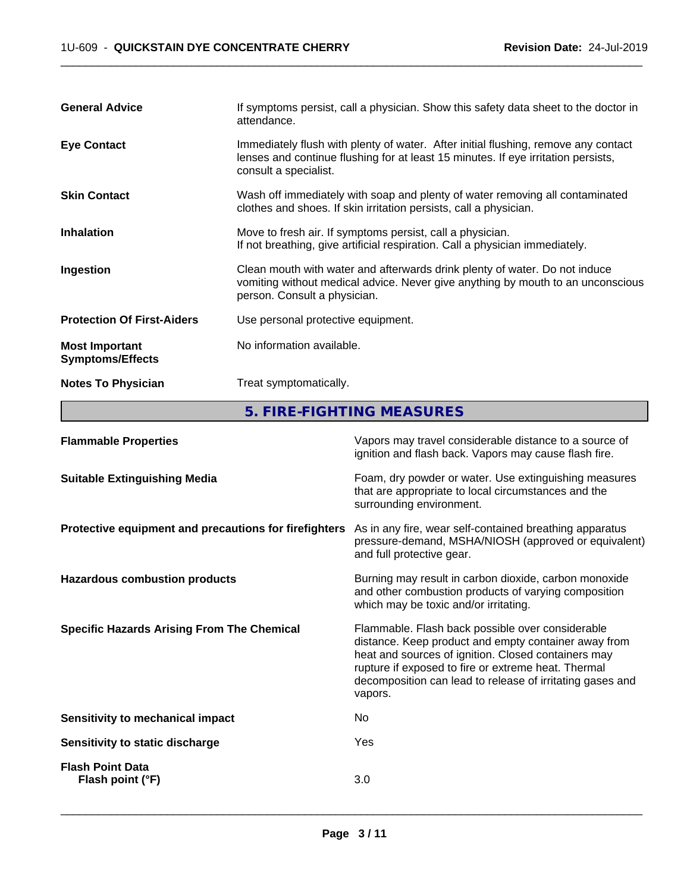| <b>General Advice</b>                            | If symptoms persist, call a physician. Show this safety data sheet to the doctor in<br>attendance.                                                                                               |
|--------------------------------------------------|--------------------------------------------------------------------------------------------------------------------------------------------------------------------------------------------------|
| <b>Eye Contact</b>                               | Immediately flush with plenty of water. After initial flushing, remove any contact<br>lenses and continue flushing for at least 15 minutes. If eye irritation persists,<br>consult a specialist. |
| <b>Skin Contact</b>                              | Wash off immediately with soap and plenty of water removing all contaminated<br>clothes and shoes. If skin irritation persists, call a physician.                                                |
| <b>Inhalation</b>                                | Move to fresh air. If symptoms persist, call a physician.<br>If not breathing, give artificial respiration. Call a physician immediately.                                                        |
| Ingestion                                        | Clean mouth with water and afterwards drink plenty of water. Do not induce<br>vomiting without medical advice. Never give anything by mouth to an unconscious<br>person. Consult a physician.    |
| <b>Protection Of First-Aiders</b>                | Use personal protective equipment.                                                                                                                                                               |
| <b>Most Important</b><br><b>Symptoms/Effects</b> | No information available.                                                                                                                                                                        |
| <b>Notes To Physician</b>                        | Treat symptomatically.                                                                                                                                                                           |

**5. FIRE-FIGHTING MEASURES**

| <b>Flammable Properties</b>                           | Vapors may travel considerable distance to a source of<br>ignition and flash back. Vapors may cause flash fire.                                                                                                                                                                                |
|-------------------------------------------------------|------------------------------------------------------------------------------------------------------------------------------------------------------------------------------------------------------------------------------------------------------------------------------------------------|
| <b>Suitable Extinguishing Media</b>                   | Foam, dry powder or water. Use extinguishing measures<br>that are appropriate to local circumstances and the<br>surrounding environment.                                                                                                                                                       |
| Protective equipment and precautions for firefighters | As in any fire, wear self-contained breathing apparatus<br>pressure-demand, MSHA/NIOSH (approved or equivalent)<br>and full protective gear.                                                                                                                                                   |
| <b>Hazardous combustion products</b>                  | Burning may result in carbon dioxide, carbon monoxide<br>and other combustion products of varying composition<br>which may be toxic and/or irritating.                                                                                                                                         |
| <b>Specific Hazards Arising From The Chemical</b>     | Flammable. Flash back possible over considerable<br>distance. Keep product and empty container away from<br>heat and sources of ignition. Closed containers may<br>rupture if exposed to fire or extreme heat. Thermal<br>decomposition can lead to release of irritating gases and<br>vapors. |
| Sensitivity to mechanical impact                      | No.                                                                                                                                                                                                                                                                                            |
| Sensitivity to static discharge                       | Yes                                                                                                                                                                                                                                                                                            |
| <b>Flash Point Data</b><br>Flash point (°F)           | 3.0                                                                                                                                                                                                                                                                                            |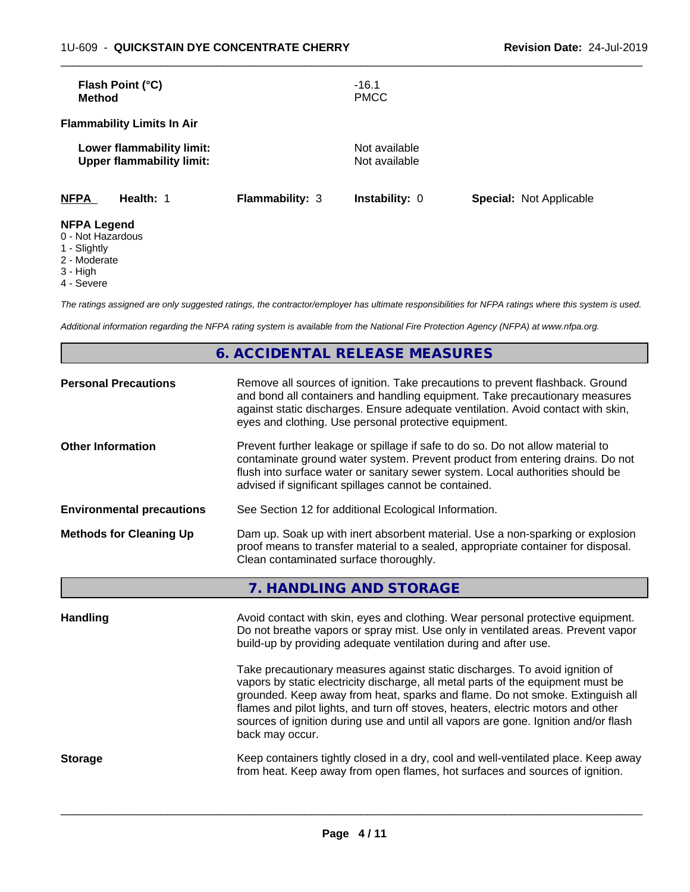| Flash Point (°C)<br><b>Method</b>                             |                        | $-16.1$<br><b>PMCC</b>         |                                |
|---------------------------------------------------------------|------------------------|--------------------------------|--------------------------------|
| <b>Flammability Limits In Air</b>                             |                        |                                |                                |
| Lower flammability limit:<br><b>Upper flammability limit:</b> |                        | Not available<br>Not available |                                |
| <b>NFPA</b><br>Health: 1                                      | <b>Flammability: 3</b> | <b>Instability: 0</b>          | <b>Special: Not Applicable</b> |
| <b>NFPA Legend</b>                                            |                        |                                |                                |

- 0 Not Hazardous
- 1 Slightly
- 2 Moderate
- 3 High
- 4 Severe

*The ratings assigned are only suggested ratings, the contractor/employer has ultimate responsibilities for NFPA ratings where this system is used.*

*Additional information regarding the NFPA rating system is available from the National Fire Protection Agency (NFPA) at www.nfpa.org.*

# **6. ACCIDENTAL RELEASE MEASURES**

| <b>Personal Precautions</b>      | Remove all sources of ignition. Take precautions to prevent flashback. Ground<br>and bond all containers and handling equipment. Take precautionary measures<br>against static discharges. Ensure adequate ventilation. Avoid contact with skin,<br>eyes and clothing. Use personal protective equipment.  |
|----------------------------------|------------------------------------------------------------------------------------------------------------------------------------------------------------------------------------------------------------------------------------------------------------------------------------------------------------|
| <b>Other Information</b>         | Prevent further leakage or spillage if safe to do so. Do not allow material to<br>contaminate ground water system. Prevent product from entering drains. Do not<br>flush into surface water or sanitary sewer system. Local authorities should be<br>advised if significant spillages cannot be contained. |
| <b>Environmental precautions</b> | See Section 12 for additional Ecological Information.                                                                                                                                                                                                                                                      |
| <b>Methods for Cleaning Up</b>   | Dam up. Soak up with inert absorbent material. Use a non-sparking or explosion<br>proof means to transfer material to a sealed, appropriate container for disposal.<br>Clean contaminated surface thoroughly.                                                                                              |

| 7. HANDLING AND STORAGE |  |
|-------------------------|--|
|-------------------------|--|

| Avoid contact with skin, eyes and clothing. Wear personal protective equipment.<br>Do not breathe vapors or spray mist. Use only in ventilated areas. Prevent vapor<br>build-up by providing adequate ventilation during and after use.                                                                                                                                                                                                        |
|------------------------------------------------------------------------------------------------------------------------------------------------------------------------------------------------------------------------------------------------------------------------------------------------------------------------------------------------------------------------------------------------------------------------------------------------|
| Take precautionary measures against static discharges. To avoid ignition of<br>vapors by static electricity discharge, all metal parts of the equipment must be<br>grounded. Keep away from heat, sparks and flame. Do not smoke. Extinguish all<br>flames and pilot lights, and turn off stoves, heaters, electric motors and other<br>sources of ignition during use and until all vapors are gone. Ignition and/or flash<br>back may occur. |
| Keep containers tightly closed in a dry, cool and well-ventilated place. Keep away<br>from heat. Keep away from open flames, hot surfaces and sources of ignition.                                                                                                                                                                                                                                                                             |
|                                                                                                                                                                                                                                                                                                                                                                                                                                                |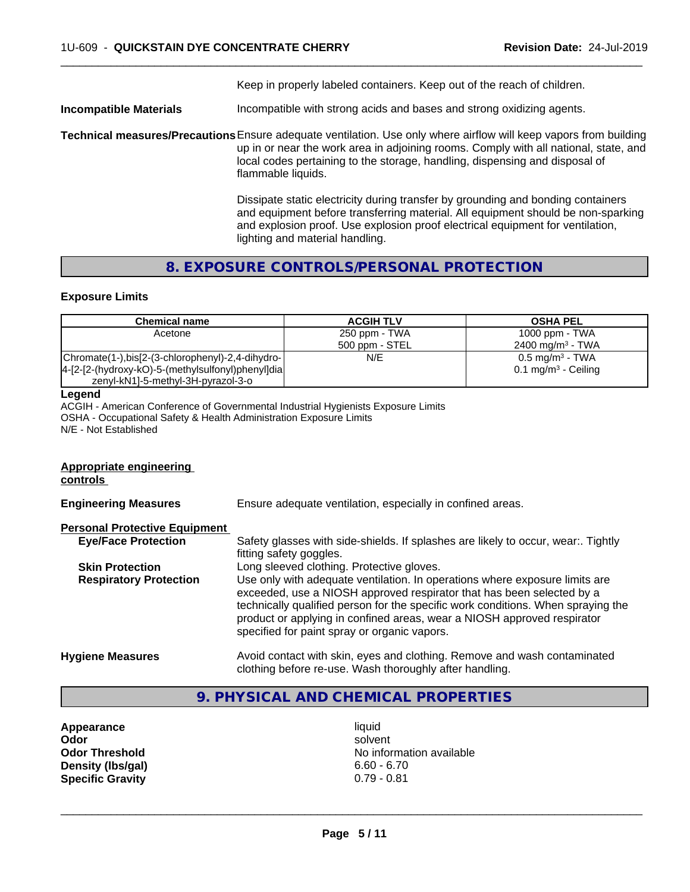Keep in properly labeled containers. Keep out of the reach of children.

 $\overline{\phantom{a}}$  ,  $\overline{\phantom{a}}$  ,  $\overline{\phantom{a}}$  ,  $\overline{\phantom{a}}$  ,  $\overline{\phantom{a}}$  ,  $\overline{\phantom{a}}$  ,  $\overline{\phantom{a}}$  ,  $\overline{\phantom{a}}$  ,  $\overline{\phantom{a}}$  ,  $\overline{\phantom{a}}$  ,  $\overline{\phantom{a}}$  ,  $\overline{\phantom{a}}$  ,  $\overline{\phantom{a}}$  ,  $\overline{\phantom{a}}$  ,  $\overline{\phantom{a}}$  ,  $\overline{\phantom{a}}$ 

**Incompatible Materials Incompatible with strong acids and bases and strong oxidizing agents.** 

**Technical measures/Precautions**Ensure adequate ventilation. Use only where airflow will keep vapors from building up in or near the work area in adjoining rooms. Comply with all national, state, and local codes pertaining to the storage, handling, dispensing and disposal of flammable liquids.

> Dissipate static electricity during transfer by grounding and bonding containers and equipment before transferring material. All equipment should be non-sparking and explosion proof. Use explosion proof electrical equipment for ventilation, lighting and material handling.

# **8. EXPOSURE CONTROLS/PERSONAL PROTECTION**

## **Exposure Limits**

| <b>Chemical name</b>                              | <b>ACGIH TLV</b> | <b>OSHA PEL</b>                |
|---------------------------------------------------|------------------|--------------------------------|
| Acetone                                           | 250 ppm - TWA    | 1000 ppm - TWA                 |
|                                                   | 500 ppm - STEL   | 2400 mg/m <sup>3</sup> - TWA   |
| Chromate(1-),bis[2-(3-chlorophenyl)-2,4-dihydro-  | N/E              | $0.5$ mg/m <sup>3</sup> - TWA  |
| 4-[2-[2-(hydroxy-kO)-5-(methylsulfonyl)phenyl]dia |                  | $0.1 \text{ mg/m}^3$ - Ceiling |
| zenyl-kN1]-5-methyl-3H-pyrazol-3-o                |                  |                                |

#### **Legend**

ACGIH - American Conference of Governmental Industrial Hygienists Exposure Limits OSHA - Occupational Safety & Health Administration Exposure Limits N/E - Not Established

#### **Appropriate engineering controls**

**Engineering Measures** Ensure adequate ventilation, especially in confined areas. **Personal Protective Equipment Eye/Face Protection** Safety glasses with side-shields. If splashes are likely to occur, wear:. Tightly fitting safety goggles. **Skin Protection Long sleeved clothing. Protective gloves. Respiratory Protection** Use only with adequate ventilation. In operations where exposure limits are exceeded, use a NIOSH approved respirator that has been selected by a technically qualified person for the specific work conditions. When spraying the product or applying in confined areas, wear a NIOSH approved respirator specified for paint spray or organic vapors. **Hygiene Measures** Avoid contact with skin, eyes and clothing. Remove and wash contaminated clothing before re-use. Wash thoroughly after handling.

# **9. PHYSICAL AND CHEMICAL PROPERTIES**

**Appearance** liquid **Density (Ibs/gal) Specific Gravity** 0.79 - 0.81

**Odor** solvent **Odor Threshold**<br> **Density (Ibs/qal)**<br> **Density (Ibs/qal)**<br> **No information available**<br>  $6.60 - 6.70$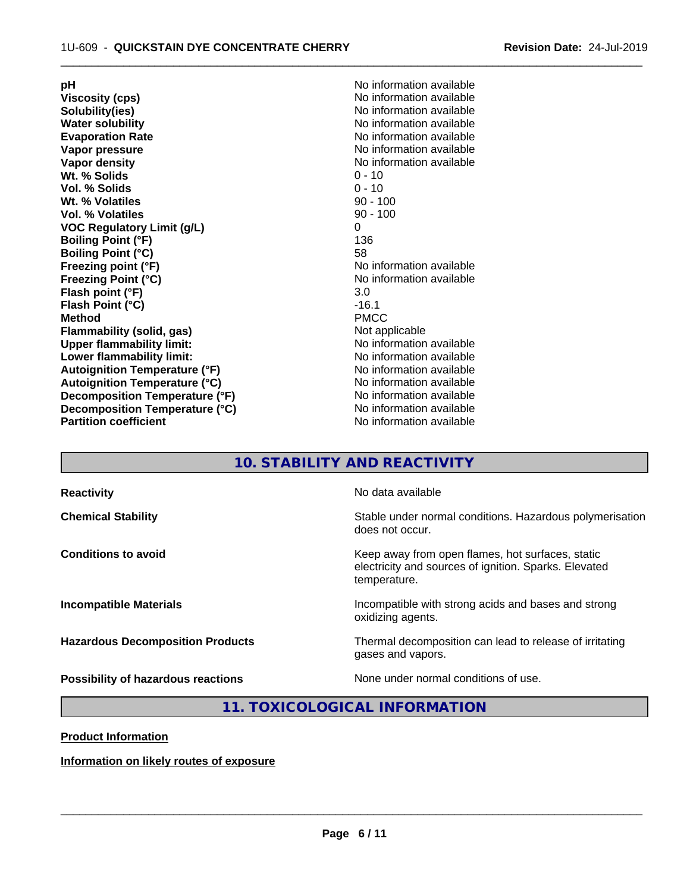**Viscosity (cps)**  $\blacksquare$  No information available<br> **Solubility (ies)** Solubility (ies) **Solubility(ies)**<br> **No information available**<br> **Water solubility**<br> **Water solubility Evaporation Rate Evaporation Rate** No information available<br> **Vapor pressure** No information available **Vapor pressure**<br> **Vapor density**<br> **Vapor density**<br> **Vapor density**<br> **Vapor density Wt. % Solids** 0 - 10<br> **Vol. % Solids** 0 - 10 **Vol. % Solids** 0 - 10 **Wt. % Volatiles Vol. % Volatiles** 90 - 100 **VOC Regulatory Limit (g/L)** 0 **Boiling Point (°F)** 136 **Boiling Point (°C)** 58<br> **Freezing point (°F)** No **Freezing Point (°C)** No information available **Flash point (°F)** 3.0<br> **Flash Point (°C)** 3.0<br> **Flash Point (°C) Flash Point (°C) Method** PMCC **Flammability (solid, gas)**<br> **Commability limit:**<br>
Under flammability limit:<br>
Under the Note information available **Upper flammability limit: Lower flammability limit:** No information available **Lower** flammability limit: **Autoignition Temperature (°F)** No information available **Autoignition Temperature (°C)** No information available **Decomposition Temperature (°F)**<br> **Decomposition Temperature (°C)** No information available **Decomposition Temperature (°C)**<br>Partition coefficient

**pH pH**  $\blacksquare$ **No information available No information available No information available No information available** 

 $\overline{\phantom{a}}$  ,  $\overline{\phantom{a}}$  ,  $\overline{\phantom{a}}$  ,  $\overline{\phantom{a}}$  ,  $\overline{\phantom{a}}$  ,  $\overline{\phantom{a}}$  ,  $\overline{\phantom{a}}$  ,  $\overline{\phantom{a}}$  ,  $\overline{\phantom{a}}$  ,  $\overline{\phantom{a}}$  ,  $\overline{\phantom{a}}$  ,  $\overline{\phantom{a}}$  ,  $\overline{\phantom{a}}$  ,  $\overline{\phantom{a}}$  ,  $\overline{\phantom{a}}$  ,  $\overline{\phantom{a}}$ 

# **10. STABILITY AND REACTIVITY**

| <b>Reactivity</b>                       | No data available                                                                                                         |
|-----------------------------------------|---------------------------------------------------------------------------------------------------------------------------|
| <b>Chemical Stability</b>               | Stable under normal conditions. Hazardous polymerisation<br>does not occur.                                               |
| <b>Conditions to avoid</b>              | Keep away from open flames, hot surfaces, static<br>electricity and sources of ignition. Sparks. Elevated<br>temperature. |
| <b>Incompatible Materials</b>           | Incompatible with strong acids and bases and strong<br>oxidizing agents.                                                  |
| <b>Hazardous Decomposition Products</b> | Thermal decomposition can lead to release of irritating<br>gases and vapors.                                              |
| Possibility of hazardous reactions      | None under normal conditions of use.                                                                                      |

**11. TOXICOLOGICAL INFORMATION**

**Product Information**

**Information on likely routes of exposure**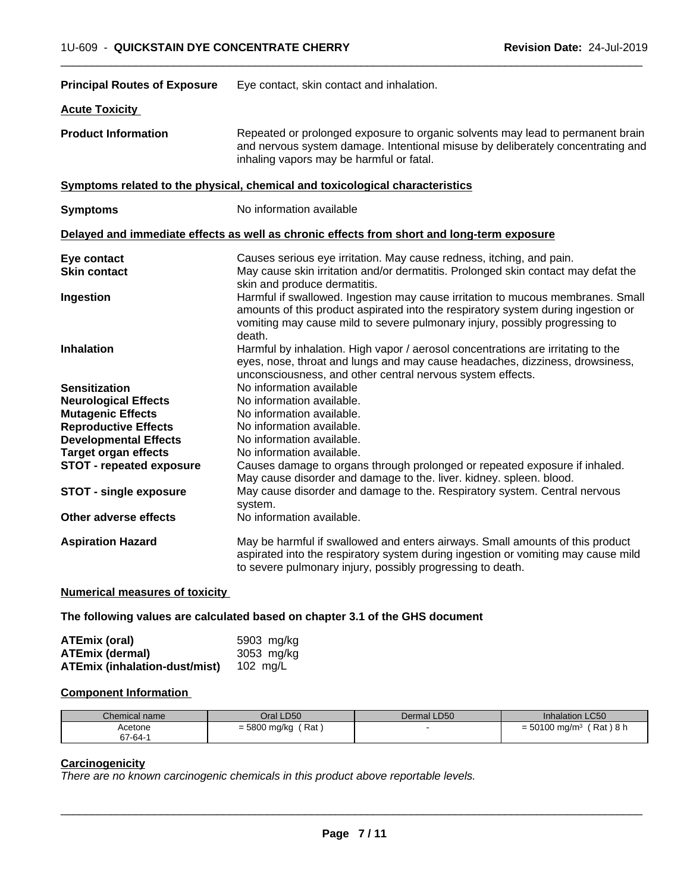| <b>Principal Routes of Exposure</b> | Eye contact, skin contact and inhalation.                                                                                                                                                                                                                     |  |  |
|-------------------------------------|---------------------------------------------------------------------------------------------------------------------------------------------------------------------------------------------------------------------------------------------------------------|--|--|
| <b>Acute Toxicity</b>               |                                                                                                                                                                                                                                                               |  |  |
| <b>Product Information</b>          | Repeated or prolonged exposure to organic solvents may lead to permanent brain<br>and nervous system damage. Intentional misuse by deliberately concentrating and<br>inhaling vapors may be harmful or fatal.                                                 |  |  |
|                                     | Symptoms related to the physical, chemical and toxicological characteristics                                                                                                                                                                                  |  |  |
| <b>Symptoms</b>                     | No information available                                                                                                                                                                                                                                      |  |  |
|                                     | Delayed and immediate effects as well as chronic effects from short and long-term exposure                                                                                                                                                                    |  |  |
| Eye contact                         | Causes serious eye irritation. May cause redness, itching, and pain.                                                                                                                                                                                          |  |  |
| <b>Skin contact</b>                 | May cause skin irritation and/or dermatitis. Prolonged skin contact may defat the<br>skin and produce dermatitis.                                                                                                                                             |  |  |
| Ingestion                           | Harmful if swallowed. Ingestion may cause irritation to mucous membranes. Small<br>amounts of this product aspirated into the respiratory system during ingestion or<br>vomiting may cause mild to severe pulmonary injury, possibly progressing to<br>death. |  |  |
| <b>Inhalation</b>                   | Harmful by inhalation. High vapor / aerosol concentrations are irritating to the<br>eyes, nose, throat and lungs and may cause headaches, dizziness, drowsiness,<br>unconsciousness, and other central nervous system effects.                                |  |  |
| <b>Sensitization</b>                | No information available                                                                                                                                                                                                                                      |  |  |
| <b>Neurological Effects</b>         | No information available.                                                                                                                                                                                                                                     |  |  |
| <b>Mutagenic Effects</b>            | No information available.                                                                                                                                                                                                                                     |  |  |
| <b>Reproductive Effects</b>         | No information available.                                                                                                                                                                                                                                     |  |  |
| <b>Developmental Effects</b>        | No information available.                                                                                                                                                                                                                                     |  |  |
| <b>Target organ effects</b>         | No information available.                                                                                                                                                                                                                                     |  |  |
| <b>STOT - repeated exposure</b>     | Causes damage to organs through prolonged or repeated exposure if inhaled.<br>May cause disorder and damage to the. liver. kidney. spleen. blood.                                                                                                             |  |  |
| <b>STOT - single exposure</b>       | May cause disorder and damage to the. Respiratory system. Central nervous<br>system.                                                                                                                                                                          |  |  |
| Other adverse effects               | No information available.                                                                                                                                                                                                                                     |  |  |
| <b>Aspiration Hazard</b>            | May be harmful if swallowed and enters airways. Small amounts of this product<br>aspirated into the respiratory system during ingestion or vomiting may cause mild<br>to severe pulmonary injury, possibly progressing to death.                              |  |  |

**Numerical measures of toxicity**

**The following values are calculated based on chapter 3.1 of the GHS document**

| ATEmix (oral)                        | 5903 mg/ka |
|--------------------------------------|------------|
| <b>ATEmix (dermal)</b>               | 3053 mg/kg |
| <b>ATEmix (inhalation-dust/mist)</b> | 102 ma/L   |

# **Component Information**

| Chemical name | Oral LD50               | Dermal LD50 | <b>Inhalation LC50</b>                  |
|---------------|-------------------------|-------------|-----------------------------------------|
| Acetone       | Rat<br>= 5800 mg/kg $'$ |             | (Rat)8 h<br>$= 50100$ mg/m <sup>3</sup> |
| 67-64-1       |                         |             |                                         |

# **Carcinogenicity**

*There are no known carcinogenic chemicals in this product above reportable levels.*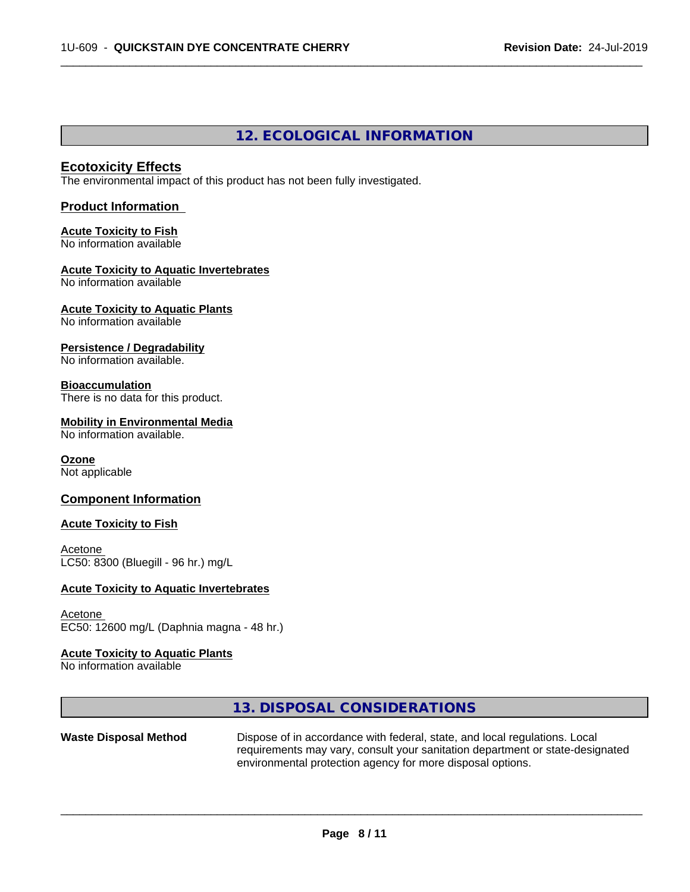# **12. ECOLOGICAL INFORMATION**

 $\overline{\phantom{a}}$  ,  $\overline{\phantom{a}}$  ,  $\overline{\phantom{a}}$  ,  $\overline{\phantom{a}}$  ,  $\overline{\phantom{a}}$  ,  $\overline{\phantom{a}}$  ,  $\overline{\phantom{a}}$  ,  $\overline{\phantom{a}}$  ,  $\overline{\phantom{a}}$  ,  $\overline{\phantom{a}}$  ,  $\overline{\phantom{a}}$  ,  $\overline{\phantom{a}}$  ,  $\overline{\phantom{a}}$  ,  $\overline{\phantom{a}}$  ,  $\overline{\phantom{a}}$  ,  $\overline{\phantom{a}}$ 

# **Ecotoxicity Effects**

The environmental impact of this product has not been fully investigated.

## **Product Information**

#### **Acute Toxicity to Fish** No information available

#### **Acute Toxicity to Aquatic Invertebrates** No information available

#### **Acute Toxicity to Aquatic Plants** No information available

**Persistence / Degradability**

No information available.

# **Bioaccumulation**

There is no data for this product.

# **Mobility in Environmental Media**

No information available.

## **Ozone**

Not applicable

# **Component Information**

# **Acute Toxicity to Fish**

Acetone LC50: 8300 (Bluegill - 96 hr.) mg/L

# **Acute Toxicity to Aquatic Invertebrates**

## Acetone EC50: 12600 mg/L (Daphnia magna - 48 hr.)

## **Acute Toxicity to Aquatic Plants**

No information available

# **13. DISPOSAL CONSIDERATIONS**

Waste Disposal Method Dispose of in accordance with federal, state, and local regulations. Local requirements may vary, consult your sanitation department or state-designated environmental protection agency for more disposal options.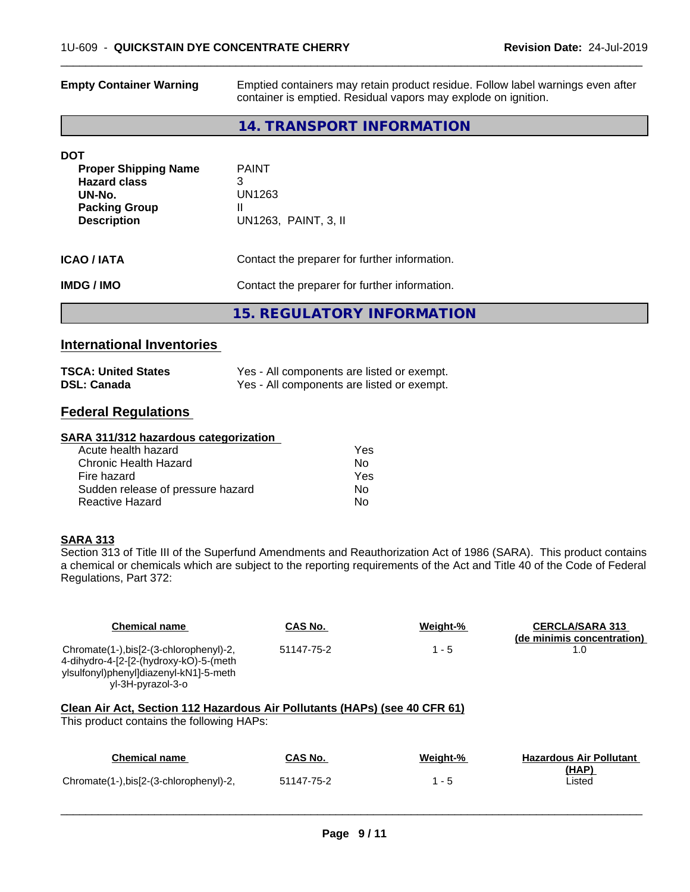| <b>Empty Container Warning</b> | Emptied containers may retain product residue. Follow label warnings even after<br>container is emptied. Residual vapors may explode on ignition. |  |
|--------------------------------|---------------------------------------------------------------------------------------------------------------------------------------------------|--|
|                                | 14. TRANSPORT INFORMATION                                                                                                                         |  |
| DOT                            |                                                                                                                                                   |  |
| <b>Proper Shipping Name</b>    | <b>PAINT</b>                                                                                                                                      |  |
| <b>Hazard class</b><br>UN-No.  | 3<br>UN1263                                                                                                                                       |  |
| <b>Packing Group</b>           | Ш                                                                                                                                                 |  |
| <b>Description</b>             | UN1263, PAINT, 3, II                                                                                                                              |  |
| ICAO / IATA                    | Contact the preparer for further information.                                                                                                     |  |
| IMDG / IMO                     | Contact the preparer for further information.                                                                                                     |  |
|                                | <b>15. REGULATORY INFORMATION</b>                                                                                                                 |  |
|                                |                                                                                                                                                   |  |

# **International Inventories**

| <b>TSCA: United States</b> | Yes - All components are listed or exempt. |
|----------------------------|--------------------------------------------|
| <b>DSL: Canada</b>         | Yes - All components are listed or exempt. |

# **Federal Regulations**

#### **SARA 311/312 hazardous categorization**

| Acute health hazard               | Yes |
|-----------------------------------|-----|
| Chronic Health Hazard             | N٥  |
| Fire hazard                       | Yes |
| Sudden release of pressure hazard | N٥  |
| Reactive Hazard                   | N٥  |

## **SARA 313**

Section 313 of Title III of the Superfund Amendments and Reauthorization Act of 1986 (SARA). This product contains a chemical or chemicals which are subject to the reporting requirements of the Act and Title 40 of the Code of Federal Regulations, Part 372:

| <b>Chemical name</b>                                                                                                                            | CAS No.    | Weight-% | <b>CERCLA/SARA 313</b><br>(de minimis concentration) |
|-------------------------------------------------------------------------------------------------------------------------------------------------|------------|----------|------------------------------------------------------|
| Chromate(1-),bis[2-(3-chlorophenyl)-2,<br>4-dihydro-4-[2-[2-(hydroxy-kO)-5-(meth<br>ylsulfonyl)phenyl]diazenyl-kN1]-5-meth<br>yl-3H-pyrazol-3-o | 51147-75-2 | $1 - 5$  | 1.0                                                  |
| Clean Air Act, Section 112 Hazardous Air Pollutants (HAPs) (see 40 CFR 61)<br>This product contains the following HAPs:                         |            |          |                                                      |
| <b>Chemical name</b>                                                                                                                            | CAS No.    | Weight-% | <b>Hazardous Air Pollutant</b><br>(HAP)              |
| Chromate(1-),bis[2-(3-chlorophenyl)-2,                                                                                                          | 51147-75-2 | $1 - 5$  | Listed                                               |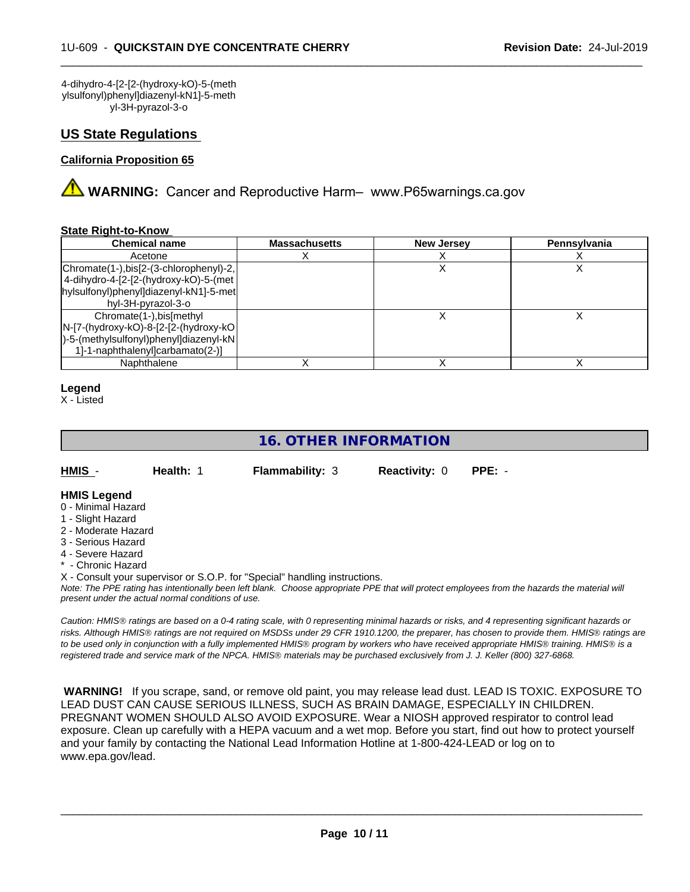4-dihydro-4-[2-[2-(hydroxy-kO)-5-(meth ylsulfonyl)phenyl]diazenyl-kN1]-5-meth yl-3H-pyrazol-3-o

# **US State Regulations**

## **California Proposition 65**

**WARNING:** Cancer and Reproductive Harm– www.P65warnings.ca.gov

#### **State Right-to-Know**

| <b>Chemical name</b>                    | <b>Massachusetts</b> | <b>New Jersey</b> | Pennsylvania |
|-----------------------------------------|----------------------|-------------------|--------------|
| Acetone                                 |                      |                   |              |
| Chromate(1-),bis[2-(3-chlorophenyl)-2,  |                      |                   |              |
| 4-dihydro-4-[2-[2-(hydroxy-kO)-5-(met   |                      |                   |              |
| hylsulfonyl)phenyl]diazenyl-kN1]-5-met  |                      |                   |              |
| hyl-3H-pyrazol-3-o                      |                      |                   |              |
| Chromate(1-), bis[methyl                |                      |                   |              |
| N-[7-(hydroxy-kO)-8-[2-[2-(hydroxy-kO]  |                      |                   |              |
| [)-5-(methylsulfonyl)phenyl]diazenyl-kN |                      |                   |              |
| 1]-1-naphthalenyl]carbamato(2-)]        |                      |                   |              |
| Naphthalene                             |                      |                   |              |

### **Legend**

X - Listed

# **16. OTHER INFORMATION**

**Health: 1 Flammability: 3 Reactivity: 0 PPE: -**

 $\overline{\phantom{a}}$  ,  $\overline{\phantom{a}}$  ,  $\overline{\phantom{a}}$  ,  $\overline{\phantom{a}}$  ,  $\overline{\phantom{a}}$  ,  $\overline{\phantom{a}}$  ,  $\overline{\phantom{a}}$  ,  $\overline{\phantom{a}}$  ,  $\overline{\phantom{a}}$  ,  $\overline{\phantom{a}}$  ,  $\overline{\phantom{a}}$  ,  $\overline{\phantom{a}}$  ,  $\overline{\phantom{a}}$  ,  $\overline{\phantom{a}}$  ,  $\overline{\phantom{a}}$  ,  $\overline{\phantom{a}}$ 

## **HMIS Legend**

- 0 Minimal Hazard
- 1 Slight Hazard
- 2 Moderate Hazard
- 3 Serious Hazard
- 4 Severe Hazard
- \* Chronic Hazard
- X Consult your supervisor or S.O.P. for "Special" handling instructions.

*Note: The PPE rating has intentionally been left blank. Choose appropriate PPE that will protect employees from the hazards the material will present under the actual normal conditions of use.*

*Caution: HMISÒ ratings are based on a 0-4 rating scale, with 0 representing minimal hazards or risks, and 4 representing significant hazards or risks. Although HMISÒ ratings are not required on MSDSs under 29 CFR 1910.1200, the preparer, has chosen to provide them. HMISÒ ratings are to be used only in conjunction with a fully implemented HMISÒ program by workers who have received appropriate HMISÒ training. HMISÒ is a registered trade and service mark of the NPCA. HMISÒ materials may be purchased exclusively from J. J. Keller (800) 327-6868.*

 **WARNING!** If you scrape, sand, or remove old paint, you may release lead dust. LEAD IS TOXIC. EXPOSURE TO LEAD DUST CAN CAUSE SERIOUS ILLNESS, SUCH AS BRAIN DAMAGE, ESPECIALLY IN CHILDREN. PREGNANT WOMEN SHOULD ALSO AVOID EXPOSURE.Wear a NIOSH approved respirator to control lead exposure. Clean up carefully with a HEPA vacuum and a wet mop. Before you start, find out how to protect yourself and your family by contacting the National Lead Information Hotline at 1-800-424-LEAD or log on to www.epa.gov/lead.